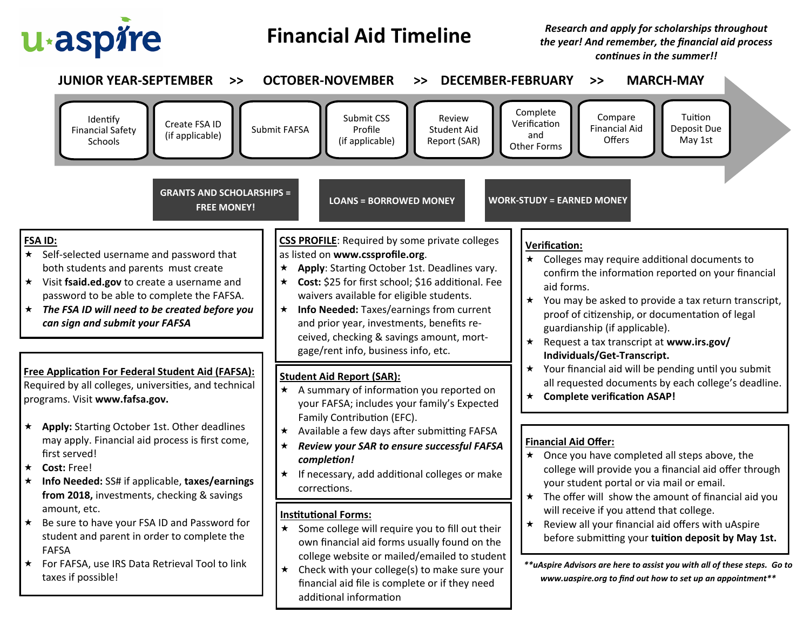

## **Financial Aid Timeline**

*Research and apply for scholarships throughout the year! And remember, the financial aid process continues in the summer!!*